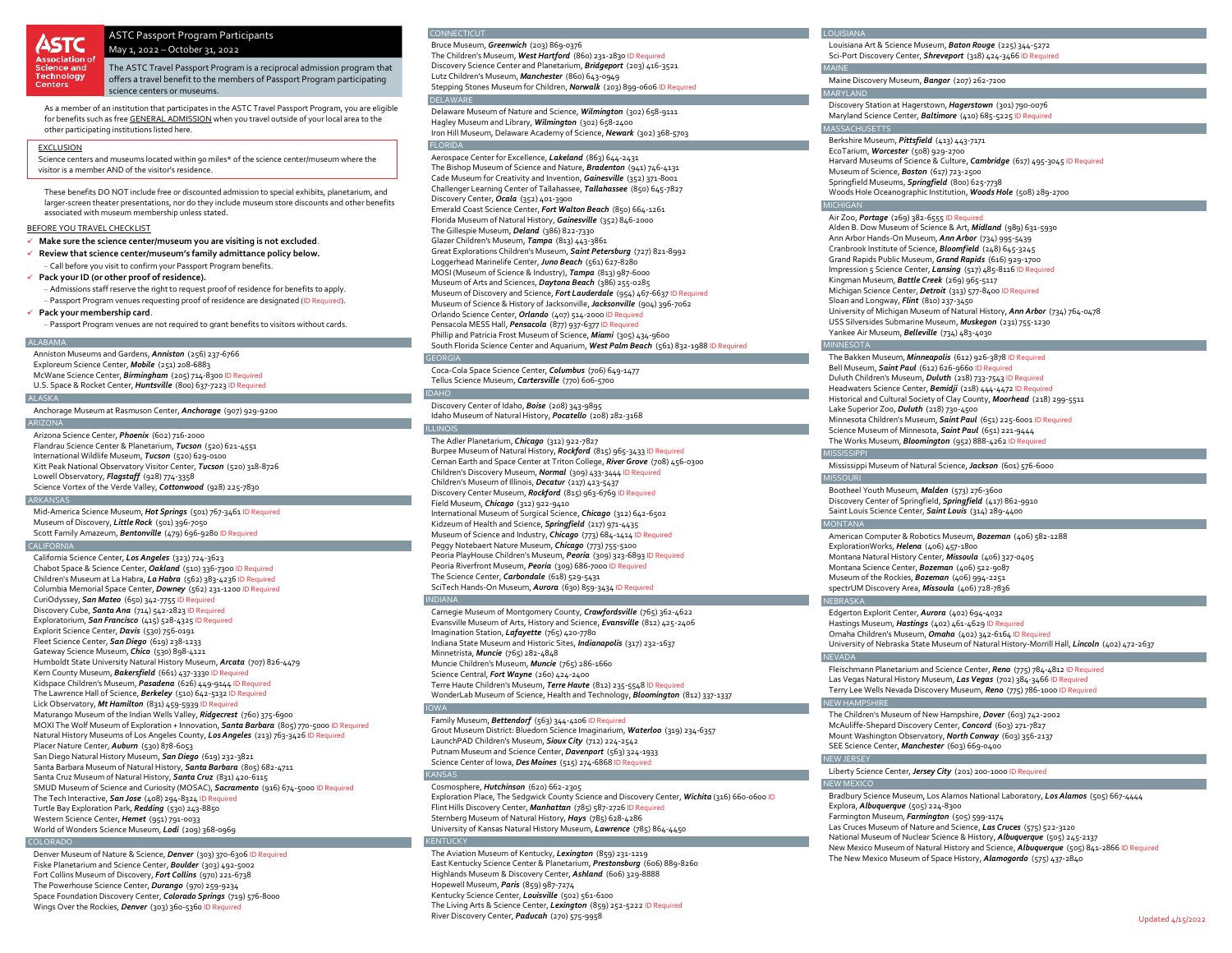# ASTC Passport Program Participants

May 1, 2022 – October 31, 2022

The ASTC Travel Passport Program is a reciprocal admission program that offers a travel benefit to the members of Passport Program participating science centers or museums.

As a member of an institution that participates in the ASTC Travel Passport Program, you are eligible for benefits such as free GENERAL ADMISSION when you travel outside of your local area to the other participating institutions listed here.

# EXCLUSION

Centers

Science centers and museums located within 90 miles\* of the science center/museum where the visitor is a member AND of the visitor's residence.

These benefits DO NOT include free or discounted admission to special exhibits, planetarium, and larger-screen theater presentations, nor do they include museum store discounts and other benefits associated with museum membership unless stated.

# BEFORE YOU TRAVEL CHECKLIST

- **Make sure the science center/museum you are visiting is not excluded**.
- **Review that science center/museum's family admittance policy below.** − Call before you visit to confirm your Passport Program benefits.
- **Pack your ID (or other proof of residence).**
- − Admissions staff reserve the right to request proof of residence for benefits to apply. − Passport Program venues requesting proof of residence are designated (ID Required).

# **Pack your membership card**.

− Passport Program venues are not required to grant benefits to visitors without cards.

#### ALABAMA

Anniston Museums and Gardens, *Anniston* (256) 237-6766 Exploreum Science Center, *Mobile* (251) 208-6883 McWane Science Center, *Birmingham* (205) 714-8300 ID Required U.S. Space & Rocket Center, *Huntsville* (800) 637-7223 ID Required

### ALASKA

Anchorage Museum at Rasmuson Center, *Anchorage* (907) 929-9200

# **ARIZONA**

Arizona Science Center, *Phoenix* (602) 716-2000 Flandrau Science Center & Planetarium, *Tucson* (520) 621-4551 International Wildlife Museum, *Tucson* (520) 629-0100 Kitt Peak National Observatory Visitor Center, *Tucson* (520) 318-8726 Lowell Observatory, *Flagstaff* (928) 774-3358 Science Vortex of the Verde Valley, *Cottonwood* (928) 225-7830

### **ADVANICAS**

Mid-America Science Museum, *Hot Springs* (501) 767-3461 ID Required Museum of Discovery, *Little Rock* (501) 396-7050 Scott Family Amazeum, *Bentonville* (479) 696-9280 ID Required

# $C$ ALIFO

California Science Center, *Los Angeles* (323) 724-3623 Chabot Space & Science Center, *Oakland* (510) 336-7300 ID Required Children's Museum at La Habra, *La Habra* (562) 383-4236 ID Required Columbia Memorial Space Center, *Downey* (562) 231-1200 ID Required CuriOdyssey, *San Mateo* (650) 342-7755 ID Required Discovery Cube, *Santa Ana* (714) 542-2823 ID Required Exploratorium, *San Francisco* (415) 528-4325 ID Required Explorit Science Center, *Davis* (530) 756-0191 Fleet Science Center, *San Diego* (619) 238-1233 Gateway Science Museum, *Chico* (530) 898-4121 Humboldt State University Natural History Museum, *Arcata* (707) 826-4479 Kern County Museum, Bakersfield (661) 437-3330 ID Re Kidspace Children's Museum, *Pasadena* (626) 449-9144 ID Required The Lawrence Hall of Science, *Berkeley* (510) 642-5132 ID Required Lick Observatory, *Mt Hamilton* (831) 459-5939 ID Required Maturango Museum of the Indian Wells Valley, *Ridgecrest* (760) 375-6900 MOXI The Wolf Museum of Exploration + Innovation, *Santa Barbara* (805) 770-5000 ID Required Natural History Museums of Los Angeles County, *Los Angeles* (213) 763-3426 ID Required Placer Nature Center, *Auburn* (530) 878-6053 San Diego Natural History Museum, *San Diego* (619) 232-3821 Santa Barbara Museum of Natural History, *Santa Barbara* (805) 682-4711 Santa Cruz Museum of Natural History, *Santa Cruz* (831) 420-6115 SMUD Museum of Science and Curiosity (MOSAC), *Sacramento* (916) 674-5000 ID Required The Tech Interactive, *San Jose* (408) 294-8324 ID Required Turtle Bay Exploration Park, *Redding* (530) 243-8850 Western Science Center, *Hemet* (951) 791-0033 World of Wonders Science Museum, *Lodi* (209) 368-0969

### COLORADO

Denver Museum of Nature & Science, *Denver* (303) 370-6306 ID Required Fiske Planetarium and Science Center, *Boulder* (303) 492-5002 Fort Collins Museum of Discovery, *Fort Collins* (970) 221-6738 The Powerhouse Science Center, *Durango* (970) 259-9234 Space Foundation Discovery Center, *Colorado Springs* (719) 576-8000 Wings Over the Rockies, *Denver* (303) 360-5360 ID Required

## CONNECTICUT

Bruce Museum, *Greenwich* (203) 869-0376 The Children's Museum, *West Hartford* (860) 231-2830 ID Required Discovery Science Center and Planetarium, *Bridgeport* (203) 416-3521 Lutz Children's Museum, *Manchester* (860) 643-0949 Stepping Stones Museum for Children, *Norwalk* (203) 899-0606 ID Required DEL AWA

Delaware Museum of Nature and Science, *Wilmington* (302) 658-9111 Hagley Museum and Library, *Wilmington* (302) 658-2400 Iron Hill Museum, Delaware Academy of Science, *Newark* (302) 368-5703

FLORIDA Aerospace Center for Excellence, *Lakeland* (863) 644-2431 The Bishop Museum of Science and Nature, *Bradenton* (941) 746-4131 Cade Museum for Creativity and Invention, *Gainesville* (352) 371-8001 Challenger Learning Center of Tallahassee, *Tallahassee* (850) 645-7827 Discovery Center, *Ocala* (352) 401-3900 Emerald Coast Science Center, *Fort Walton Beach* (850) 664-1261 Florida Museum of Natural History, *Gainesville* (352) 846-2000 The Gillespie Museum, *Deland* (386) 822-7330 Glazer Children's Museum, *Tampa* (813) 443-3861 Great Explorations Children's Museum, *Saint Petersburg* (727) 821-8992 Loggerhead Marinelife Center, *Juno Beach* (561) 627-8280 MOSI (Museum of Science & Industry), *Tampa* (813) 987-6000 Museum of Arts and Sciences, *Daytona Beach* (386) 255-0285 Museum of Discovery and Science, *Fort Lauderdale* (954) 467-6637 ID Required Museum of Science & History of Jacksonville, *Jacksonville* (904) 396-7062 Orlando Science Center, *Orlando* (407) 514-2000 ID Required Pensacola MESS Hall, *Pensacola* (877) 937-6377 ID Required Phillip and Patricia Frost Museum of Science, *Miami* (305) 434-9600 South Florida Science Center and Aquarium, *West Palm Beach* (561) 832-1988 ID Required

# GEORGIA

Coca-Cola Space Science Center, *Columbus* (706) 649-1477 Tellus Science Museum, *Cartersville* (770) 606-5700

# Discovery Center of Idaho, *Boise* (208) 343-9895 Idaho Museum of Natural History, *Pocatello* (208) 282-3168

ILLINOIS The Adler Planetarium, *Chicago* (312) 922-7827 Burpee Museum of Natural History, *Rockford* (815) 965-3433 ID Required Cernan Earth and Space Center at Triton College, *River Grove* (708) 456-0300 Children's Discovery Museum, *Normal* (309) 433-3444 ID Required Children's Museum of Illinois, *Decatur* (217) 423-5437 Discovery Center Museum, *Rockford* (815) 963-6769 ID Required Field Museum, *Chicago* (312) 922-9410 International Museum of Surgical Science, *Chicago* (312) 642-6502 Kidzeum of Health and Science, *Springfield* (217) 971-4435 Museum of Science and Industry, *Chicago* (773) 684-1414 ID Required Peggy Notebaert Nature Museum, *Chicago* (773) 755-5100 Peoria PlayHouse Children's Museum, *Peoria* (309) 323-6893 ID Required Peoria Riverfront Museum, *Peoria* (309) 686-7000 ID Required The Science Center, *Carbondale* (618) 529-5431 SciTech Hands-On Museum, *Aurora* (630) 859-3434 ID Required

#### INDIANA

IDAHO

Carnegie Museum of Montgomery County, *Crawfordsville* (765) 362-4622 Evansville Museum of Arts, History and Science, *Evansville* (812) 425-2406 Imagination Station, *Lafayette* (765) 420-7780 Indiana State Museum and Historic Sites, *Indianapolis* (317) 232-1637 Minnetrista, *Muncie* (765) 282-4848 Muncie Children's Museum, *Muncie* (765) 286-1660 Science Central, *Fort Wayne* (260) 424-2400 Terre Haute Children's Museum, *Terre Haute* (812) 235-5548 ID Required WonderLab Museum of Science, Health and Technology, *Bloomington* (812) 337-1337

Family Museum, *Bettendorf* (563) 344-4106 ID Required Grout Museum District: Bluedorn Science Imaginarium, *Waterloo* (319) 234-6357 LaunchPAD Children's Museum, *Sioux City* (712) 224-2542 Putnam Museum and Science Center, *Davenport* (563) 324-1933 Science Center of Iowa, *Des Moines* (515) 274-6868 ID KAN!

# Cosmosphere, *Hutchinson* (620) 662-2305

Exploration Place, The Sedgwick County Science and Discovery Center, *Wichita* (316) 660-0600 ID Flint Hills Discovery Center, *Manhattan* (785) 587-2726 ID Required Sternberg Museum of Natural History, *Hays* (785) 628-4286 University of Kansas Natural History Museum, *Lawrence* (785) 864-4450

### KENTUCKY

The Aviation Museum of Kentucky, *Lexington* (859) 231-1219 East Kentucky Science Center & Planetarium, *Prestonsburg* (606) 889-8260 Highlands Museum & Discovery Center, *Ashland* (606) 329-8888 Hopewell Museum, *Paris* (859) 987-7274 Kentucky Science Center, *Louisville* (502) 561-6100 The Living Arts & Science Center, *Lexington* (859) 252-5222 ID Required River Discovery Center, *Paducah* (270) 575-9958

Louisiana Art & Science Museum, *Baton Rouge* (225) 344-5272 Sci-Port Discovery Center, *Shreveport* (318) 424-3466 ID Required

#### MAINE Maine Discovery Museum, *Bangor* (207) 262-7200

MARYLAND

Discovery Station at Hagerstown, *Hagerstown* (301) 790-0076 Maryland Science Center, *Baltimore* (410) 685-5225 ID Required

# MASSACHUSETTS

Berkshire Museum, *Pittsfield* (413) 443-7171 EcoTarium, *Worcester* (508) 929-2700 Harvard Museums of Science & Culture, *Cambridge* (617) 495-3045 ID Required Museum of Science, *Boston* (617) 723-2500 Springfield Museums, *Springfield* (800) 625-7738 Woods Hole Oceanographic Institution, *Woods Hole* (508) 289-2700

# MICHIGAN

Air Zoo, *Portage* (269) 382-6555 ID Required Alden B. Dow Museum of Science & Art, *Midland* (989) 631-5930 Ann Arbor Hands-On Museum, *Ann Arbor* (734) 995-5439 Cranbrook Institute of Science, *Bloomfield* (248) 645-3245 Grand Rapids Public Museum, *Grand Rapids* (616) 929-1700 Impression 5 Science Center, *Lansing* (517) 485-8116 ID Required Kingman Museum, *Battle Creek* (269) 965-5117 Michigan Science Center, *Detroit* (313) 577-8400 ID Required Sloan and Longway, *Flint* (810) 237-3450 University of Michigan Museum of Natural History, *Ann Arbor* (734) 764-0478 USS Silversides Submarine Museum, *Muskegon* (231) 755-1230 Yankee Air Museum, *Belleville* (734) 483-4030

### MINNESOTA

The Bakken Museum, *Minneapolis* (612) 926-3878 ID Required Bell Museum, *Saint Paul* (612) 626-9660 ID F Duluth Children's Museum, *Duluth* (218) 733-7543 ID Required Headwaters Science Center, *Bemidji* (218) 444-4472 ID Required Historical and Cultural Society of Clay County, *Moorhead* (218) 299-5511 Lake Superior Zoo, *Duluth* (218) 730-4500 Minnesota Children's Museum, *Saint Paul* (651) 225-6001 ID Required Science Museum of Minnesota, *Saint Paul* (651) 221-9444 The Works Museum, *Bloomington* (952) 888-4262 ID Required

### MISSISSIPPI

Mississippi Museum of Natural Science, *Jackson* (601) 576-6000 **MISSOURI** 

Bootheel Youth Museum, *Malden* (573) 276-3600 Discovery Center of Springfield, *Springfield* (417) 862-9910 Saint Louis Science Center, *Saint Louis* (314) 289-4400

### MONTANA

American Computer & Robotics Museum, *Bozeman* (406) 582-1288 ExplorationWorks, *Helena* (406) 457-1800 Montana Natural History Center, *Missoula* (406) 327-0405 Montana Science Center, *Bozeman* (406) 522-9087 Museum of the Rockies, *Bozeman* (406) 994-2251 spectrUM Discovery Area, *Missoula* (406) 728-7836

#### NEBRASKA

Edgerton Explorit Center, *Aurora* (402) 694-4032 Hastings Museum, *Hastings* (402) 461-4629 ID Required Omaha Children's Museum, *Omaha* (402) 342-6164 ID Required University of Nebraska State Museum of Natural History-Morrill Hall, *Lincoln* (402) 472-2637

Fleischmann Planetarium and Science Center, *Reno* (775) 784-4812 ID Required Las Vegas Natural History Museum, *Las Vegas* (702) 384-3466 ID Required Terry Lee Wells Nevada Discovery Museum, *Reno* (775) 786-1000 ID Required

### NEW HAMPSHIRE

The Children's Museum of New Hampshire, *Dover* (603) 742-2002 McAuliffe-Shepard Discovery Center, *Concord* (603) 271-7827 Mount Washington Observatory, *North Conway* (603) 356-2137 SEE Science Center, *Manchester* (603) 669-0400

# NEW **IFRSEY**

Liberty Science Center, *Jersey City* (201) 200-1000 ID Required

NEW MEXICO Bradbury Science Museum, Los Alamos National Laboratory, *Los Alamos* (505) 667-4444 Explora, *Albuquerque* (505) 224-8300 Farmington Museum, *Farmington* (505) 599-1174 Las Cruces Museum of Nature and Science, *Las Cruces* (575) 522-3120 National Museum of Nuclear Science & History, *Albuquerque* (505) 245-2137 New Mexico Museum of Natural History and Science, *Albuquerque* (505) 841-2866 ID Required The New Mexico Museum of Space History, *Alamogordo* (575) 437-2840